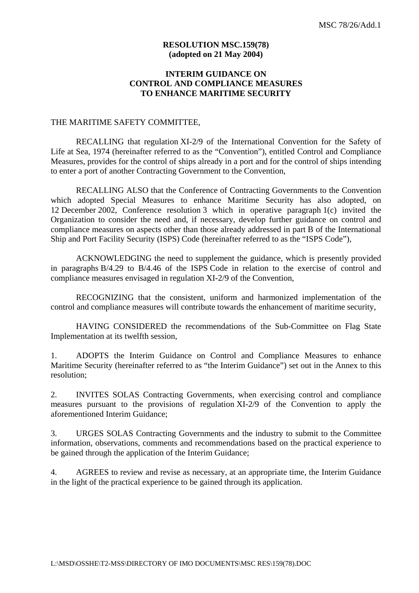#### **RESOLUTION MSC.159(78) (adopted on 21 May 2004)**

## **INTERIM GUIDANCE ON CONTROL AND COMPLIANCE MEASURES TO ENHANCE MARITIME SECURITY**

#### THE MARITIME SAFETY COMMITTEE,

RECALLING that regulation XI-2/9 of the International Convention for the Safety of Life at Sea, 1974 (hereinafter referred to as the "Convention"), entitled Control and Compliance Measures, provides for the control of ships already in a port and for the control of ships intending to enter a port of another Contracting Government to the Convention,

 RECALLING ALSO that the Conference of Contracting Governments to the Convention which adopted Special Measures to enhance Maritime Security has also adopted, on 12 December 2002, Conference resolution 3 which in operative paragraph 1(c) invited the Organization to consider the need and, if necessary, develop further guidance on control and compliance measures on aspects other than those already addressed in part B of the International Ship and Port Facility Security (ISPS) Code (hereinafter referred to as the "ISPS Code"),

 ACKNOWLEDGING the need to supplement the guidance, which is presently provided in paragraphs B/4.29 to B/4.46 of the ISPS Code in relation to the exercise of control and compliance measures envisaged in regulation XI-2/9 of the Convention,

RECOGNIZING that the consistent, uniform and harmonized implementation of the control and compliance measures will contribute towards the enhancement of maritime security,

HAVING CONSIDERED the recommendations of the Sub-Committee on Flag State Implementation at its twelfth session,

1. ADOPTS the Interim Guidance on Control and Compliance Measures to enhance Maritime Security (hereinafter referred to as "the Interim Guidance") set out in the Annex to this resolution;

2. INVITES SOLAS Contracting Governments, when exercising control and compliance measures pursuant to the provisions of regulation XI-2/9 of the Convention to apply the aforementioned Interim Guidance;

3. URGES SOLAS Contracting Governments and the industry to submit to the Committee information, observations, comments and recommendations based on the practical experience to be gained through the application of the Interim Guidance;

4. AGREES to review and revise as necessary, at an appropriate time, the Interim Guidance in the light of the practical experience to be gained through its application.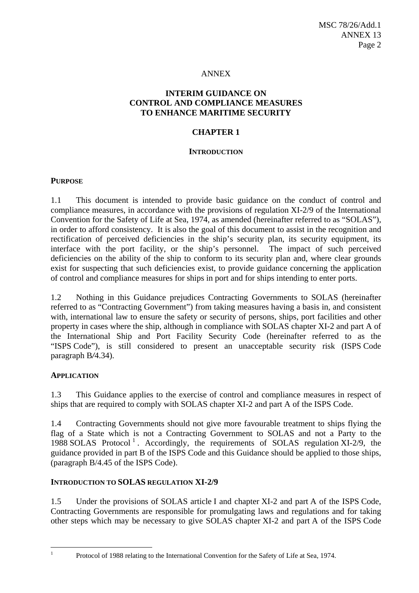#### ANNEX

## **INTERIM GUIDANCE ON CONTROL AND COMPLIANCE MEASURES TO ENHANCE MARITIME SECURITY**

#### **CHAPTER 1**

#### **INTRODUCTION**

### **PURPOSE**

1.1 This document is intended to provide basic guidance on the conduct of control and compliance measures, in accordance with the provisions of regulation XI-2/9 of the International Convention for the Safety of Life at Sea, 1974, as amended (hereinafter referred to as "SOLAS"), in order to afford consistency. It is also the goal of this document to assist in the recognition and rectification of perceived deficiencies in the ship's security plan, its security equipment, its interface with the port facility, or the ship's personnel. The impact of such perceived deficiencies on the ability of the ship to conform to its security plan and, where clear grounds exist for suspecting that such deficiencies exist, to provide guidance concerning the application of control and compliance measures for ships in port and for ships intending to enter ports.

1.2 Nothing in this Guidance prejudices Contracting Governments to SOLAS (hereinafter referred to as "Contracting Government") from taking measures having a basis in, and consistent with, international law to ensure the safety or security of persons, ships, port facilities and other property in cases where the ship, although in compliance with SOLAS chapter XI-2 and part A of the International Ship and Port Facility Security Code (hereinafter referred to as the "ISPS Code"), is still considered to present an unacceptable security risk (ISPS Code paragraph B*/*4.34).

### **APPLICATION**

1.3 This Guidance applies to the exercise of control and compliance measures in respect of ships that are required to comply with SOLAS chapter XI-2 and part A of the ISPS Code.

1.4 Contracting Governments should not give more favourable treatment to ships flying the flag of a State which is not a Contracting Government to SOLAS and not a Party to the 1988 SOLAS Protocol<sup>1</sup>. Accordingly, the requirements of SOLAS regulation XI-2/9, the guidance provided in part B of the ISPS Code and this Guidance should be applied to those ships, (paragraph B/4.45 of the ISPS Code).

## **INTRODUCTION TO SOLAS REGULATION XI-2/9**

1.5 Under the provisions of SOLAS article I and chapter XI-2 and part A of the ISPS Code, Contracting Governments are responsible for promulgating laws and regulations and for taking other steps which may be necessary to give SOLAS chapter XI-2 and part A of the ISPS Code

 $\frac{1}{1}$ 

Protocol of 1988 relating to the International Convention for the Safety of Life at Sea, 1974.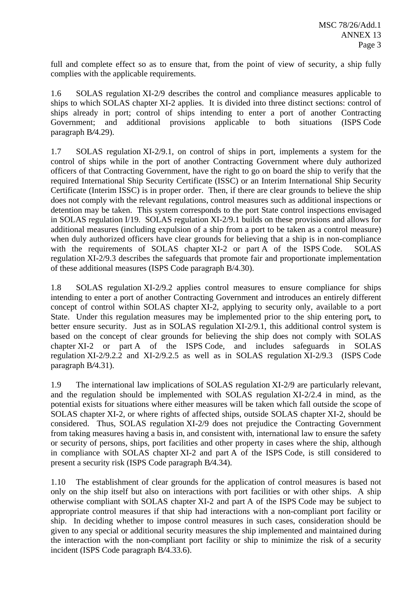full and complete effect so as to ensure that, from the point of view of security, a ship fully complies with the applicable requirements.

1.6 SOLAS regulation XI-2/9 describes the control and compliance measures applicable to ships to which SOLAS chapter XI-2 applies. It is divided into three distinct sections: control of ships already in port; control of ships intending to enter a port of another Contracting Government; and additional provisions applicable to both situations (ISPS Code paragraph B*/*4.29).

1.7 SOLAS regulation XI-2/9.1, on control of ships in port, implements a system for the control of ships while in the port of another Contracting Government where duly authorized officers of that Contracting Government, have the right to go on board the ship to verify that the required International Ship Security Certificate (ISSC) or an Interim International Ship Security Certificate (Interim ISSC) is in proper order. Then, if there are clear grounds to believe the ship does not comply with the relevant regulations, control measures such as additional inspections or detention may be taken. This system corresponds to the port State control inspections envisaged in SOLAS regulation I/19. SOLAS regulation XI-2/9.1 builds on these provisions and allows for additional measures (including expulsion of a ship from a port to be taken as a control measure) when duly authorized officers have clear grounds for believing that a ship is in non-compliance with the requirements of SOLAS chapter XI-2 or part A of the ISPS Code. SOLAS regulation XI-2/9.3 describes the safeguards that promote fair and proportionate implementation of these additional measures (ISPS Code paragraph B/4.30).

1.8 SOLAS regulation XI-2/9.2 applies control measures to ensure compliance for ships intending to enter a port of another Contracting Government and introduces an entirely different concept of control within SOLAS chapter XI-2, applying to security only, available to a port State. Under this regulation measures may be implemented prior to the ship entering port*,* to better ensure security. Just as in SOLAS regulation XI-2/9.1, this additional control system is based on the concept of clear grounds for believing the ship does not comply with SOLAS chapter XI-2 or part A of the ISPS Code, and includes safeguards in SOLAS regulation XI-2/9.2.2 and XI-2/9.2.5 as well as in SOLAS regulation XI-2/9.3 (ISPS Code paragraph B*/*4.31).

1.9 The international law implications of SOLAS regulation XI-2/9 are particularly relevant, and the regulation should be implemented with SOLAS regulation XI-2/2.4 in mind, as the potential exists for situations where either measures will be taken which fall outside the scope of SOLAS chapter XI-2, or where rights of affected ships, outside SOLAS chapter XI-2, should be considered. Thus, SOLAS regulation XI-2/9 does not prejudice the Contracting Government from taking measures having a basis in, and consistent with, international law to ensure the safety or security of persons, ships, port facilities and other property in cases where the ship, although in compliance with SOLAS chapter XI-2 and part A of the ISPS Code, is still considered to present a security risk (ISPS Code paragraph B*/*4.34).

1.10 The establishment of clear grounds for the application of control measures is based not only on the ship itself but also on interactions with port facilities or with other ships. A ship otherwise compliant with SOLAS chapter XI-2 and part A of the ISPS Code may be subject to appropriate control measures if that ship had interactions with a non-compliant port facility or ship. In deciding whether to impose control measures in such cases, consideration should be given to any special or additional security measures the ship implemented and maintained during the interaction with the non-compliant port facility or ship to minimize the risk of a security incident (ISPS Code paragraph B*/*4.33.6).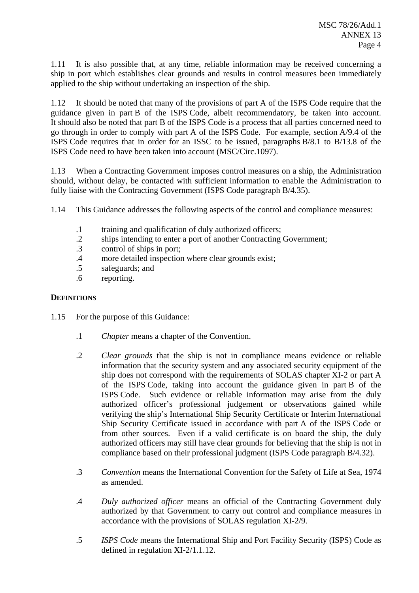1.11 It is also possible that, at any time, reliable information may be received concerning a ship in port which establishes clear grounds and results in control measures been immediately applied to the ship without undertaking an inspection of the ship.

1.12 It should be noted that many of the provisions of part A of the ISPS Code require that the guidance given in part B of the ISPS Code, albeit recommendatory, be taken into account. It should also be noted that part B of the ISPS Code is a process that all parties concerned need to go through in order to comply with part A of the ISPS Code. For example, section A/9.4 of the ISPS Code requires that in order for an ISSC to be issued, paragraphs B/8.1 to B/13.8 of the ISPS Code need to have been taken into account (MSC/Circ.1097).

1.13 When a Contracting Government imposes control measures on a ship, the Administration should, without delay, be contacted with sufficient information to enable the Administration to fully liaise with the Contracting Government (ISPS Code paragraph B/4.35).

1.14 This Guidance addresses the following aspects of the control and compliance measures:

- .1 training and qualification of duly authorized officers;
- .2 ships intending to enter a port of another Contracting Government;
- .3 control of ships in port;
- .4 more detailed inspection where clear grounds exist;
- .5 safeguards; and
- .6 reporting.

## **DEFINITIONS**

- 1.15 For the purpose of this Guidance:
	- .1 *Chapter* means a chapter of the Convention.
	- .2 *Clear grounds* that the ship is not in compliance means evidence or reliable information that the security system and any associated security equipment of the ship does not correspond with the requirements of SOLAS chapter XI-2 or part A of the ISPS Code, taking into account the guidance given in part B of the ISPS Code. Such evidence or reliable information may arise from the duly authorized officer's professional judgement or observations gained while verifying the ship's International Ship Security Certificate or Interim International Ship Security Certificate issued in accordance with part A of the ISPS Code or from other sources. Even if a valid certificate is on board the ship, the duly authorized officers may still have clear grounds for believing that the ship is not in compliance based on their professional judgment (ISPS Code paragraph B/4.32).
	- .3 *Convention* means the International Convention for the Safety of Life at Sea, 1974 as amended.
	- .4 *Duly authorized officer* means an official of the Contracting Government duly authorized by that Government to carry out control and compliance measures in accordance with the provisions of SOLAS regulation XI-2/9.
	- .5 *ISPS Code* means the International Ship and Port Facility Security (ISPS) Code as defined in regulation XI-2/1.1.12.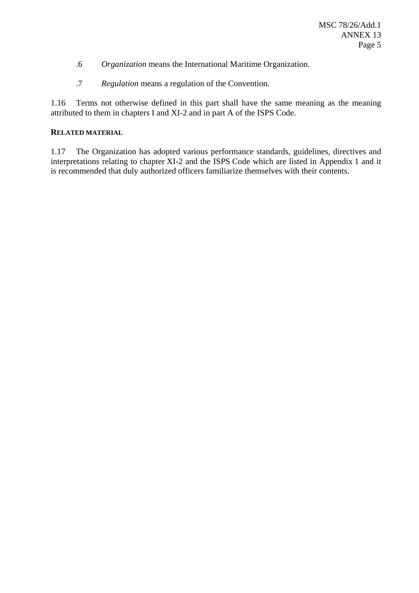- .6 *Organization* means the International Maritime Organization.
- .7 *Regulation* means a regulation of the Convention.

1.16 Terms not otherwise defined in this part shall have the same meaning as the meaning attributed to them in chapters I and XI-2 and in part A of the ISPS Code.

### **RELATED MATERIAL**

1.17 The Organization has adopted various performance standards, guidelines, directives and interpretations relating to chapter XI-2 and the ISPS Code which are listed in Appendix 1 and it is recommended that duly authorized officers familiarize themselves with their contents.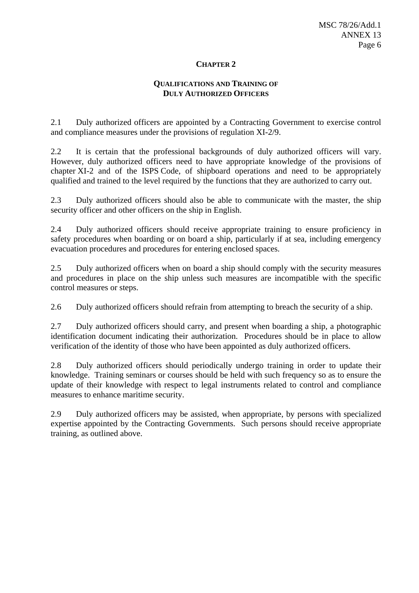### **QUALIFICATIONS AND TRAINING OF DULY AUTHORIZED OFFICERS**

2.1 Duly authorized officers are appointed by a Contracting Government to exercise control and compliance measures under the provisions of regulation XI-2/9.

2.2 It is certain that the professional backgrounds of duly authorized officers will vary. However, duly authorized officers need to have appropriate knowledge of the provisions of chapter XI-2 and of the ISPS Code, of shipboard operations and need to be appropriately qualified and trained to the level required by the functions that they are authorized to carry out.

2.3 Duly authorized officers should also be able to communicate with the master, the ship security officer and other officers on the ship in English.

2.4 Duly authorized officers should receive appropriate training to ensure proficiency in safety procedures when boarding or on board a ship, particularly if at sea, including emergency evacuation procedures and procedures for entering enclosed spaces.

2.5 Duly authorized officers when on board a ship should comply with the security measures and procedures in place on the ship unless such measures are incompatible with the specific control measures or steps.

2.6 Duly authorized officers should refrain from attempting to breach the security of a ship.

2.7 Duly authorized officers should carry, and present when boarding a ship, a photographic identification document indicating their authorization. Procedures should be in place to allow verification of the identity of those who have been appointed as duly authorized officers.

2.8 Duly authorized officers should periodically undergo training in order to update their knowledge. Training seminars or courses should be held with such frequency so as to ensure the update of their knowledge with respect to legal instruments related to control and compliance measures to enhance maritime security.

2.9 Duly authorized officers may be assisted, when appropriate, by persons with specialized expertise appointed by the Contracting Governments. Such persons should receive appropriate training, as outlined above.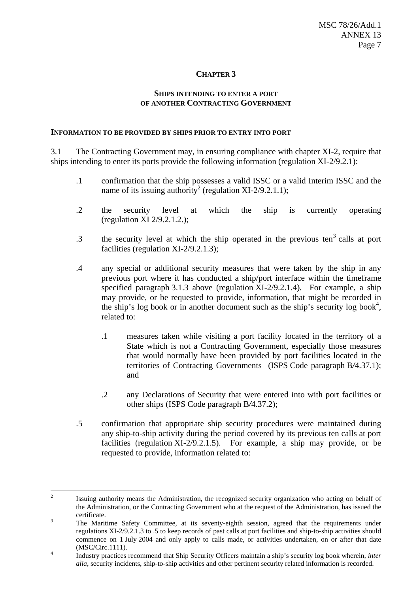### **SHIPS INTENDING TO ENTER A PORT OF ANOTHER CONTRACTING GOVERNMENT**

#### **INFORMATION TO BE PROVIDED BY SHIPS PRIOR TO ENTRY INTO PORT**

3.1 The Contracting Government may, in ensuring compliance with chapter XI-2, require that ships intending to enter its ports provide the following information (regulation XI-2/9.2.1):

- .1 confirmation that the ship possesses a valid ISSC or a valid Interim ISSC and the name of its issuing authority<sup>2</sup> (regulation XI-2/9.2.1.1);
- .2 the security level at which the ship is currently operating (regulation XI 2/9.2.1.2.);
- $\cdot$  3 the security level at which the ship operated in the previous ten<sup>3</sup> calls at port facilities (regulation XI-2/9.2.1.3);
- .4 any special or additional security measures that were taken by the ship in any previous port where it has conducted a ship/port interface within the timeframe specified paragraph 3.1.3 above (regulation XI-2/9.2.1.4)*.* For example, a ship may provide, or be requested to provide, information, that might be recorded in the ship's log book or in another document such as the ship's security log book<sup>4</sup>, related to:
	- .1 measures taken while visiting a port facility located in the territory of a State which is not a Contracting Government, especially those measures that would normally have been provided by port facilities located in the territories of Contracting Governments (ISPS Code paragraph B*/*4.37.1); and
	- .2 any Declarations of Security that were entered into with port facilities or other ships (ISPS Code paragraph B*/*4.37.2);
- .5 confirmation that appropriate ship security procedures were maintained during any ship-to-ship activity during the period covered by its previous ten calls at port facilities (regulation XI-2/9.2.1.5). For example, a ship may provide, or be requested to provide, information related to:

 $\frac{1}{2}$  Issuing authority means the Administration, the recognized security organization who acting on behalf of the Administration, or the Contracting Government who at the request of the Administration, has issued the certificate.

The Maritime Safety Committee, at its seventy-eighth session, agreed that the requirements under regulations XI-2/9.2.1.3 to .5 to keep records of past calls at port facilities and ship-to-ship activities should commence on 1 July 2004 and only apply to calls made, or activities undertaken, on or after that date  $(MSC/Circ.1111).$ 

Industry practices recommend that Ship Security Officers maintain a ship's security log book wherein, *inter alia*, security incidents, ship-to-ship activities and other pertinent security related information is recorded.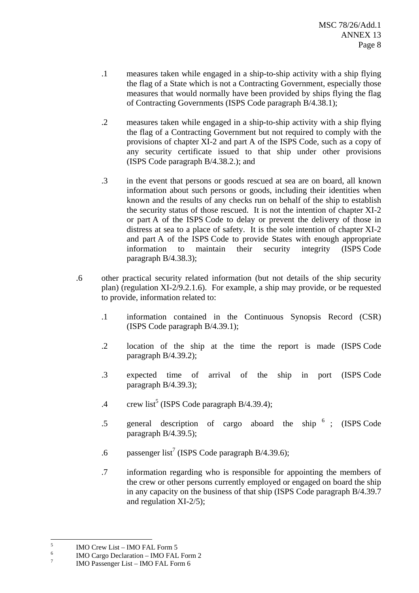- .1 measures taken while engaged in a ship-to-ship activity with a ship flying the flag of a State which is not a Contracting Government, especially those measures that would normally have been provided by ships flying the flag of Contracting Governments (ISPS Code paragraph B/4.38.1);
- .2 measures taken while engaged in a ship-to-ship activity with a ship flying the flag of a Contracting Government but not required to comply with the provisions of chapter XI-2 and part A of the ISPS Code, such as a copy of any security certificate issued to that ship under other provisions (ISPS Code paragraph B/4.38.2.); and
- .3 in the event that persons or goods rescued at sea are on board, all known information about such persons or goods, including their identities when known and the results of any checks run on behalf of the ship to establish the security status of those rescued. It is not the intention of chapter XI-2 or part A of the ISPS Code to delay or prevent the delivery of those in distress at sea to a place of safety. It is the sole intention of chapter XI-2 and part A of the ISPS Code to provide States with enough appropriate information to maintain their security integrity (ISPS Code paragraph B/4.38.3);
- .6 other practical security related information (but not details of the ship security plan) (regulation XI-2/9.2.1.6). For example, a ship may provide, or be requested to provide, information related to:
	- .1 information contained in the Continuous Synopsis Record (CSR) (ISPS Code paragraph B/4.39.1);
	- .2 location of the ship at the time the report is made (ISPS Code paragraph B/4.39.2);
	- .3 expected time of arrival of the ship in port (ISPS Code paragraph B/4.39.3);
	- .4 crew list<sup>5</sup> (ISPS Code paragraph B/4.39.4);
	- .5 general description of cargo aboard the ship <sup>6</sup> ; (ISPS Code paragraph B/4.39.5);
	- .6 passenger list<sup>7</sup> (ISPS Code paragraph B/4.39.6);
	- .7 information regarding who is responsible for appointing the members of the crew or other persons currently employed or engaged on board the ship in any capacity on the business of that ship (ISPS Code paragraph B/4.39.7 and regulation XI-2/5);

 5 IMO Crew List – IMO FAL Form 5

<sup>6</sup> IMO Cargo Declaration – IMO FAL Form 2

<sup>7</sup> IMO Passenger List – IMO FAL Form 6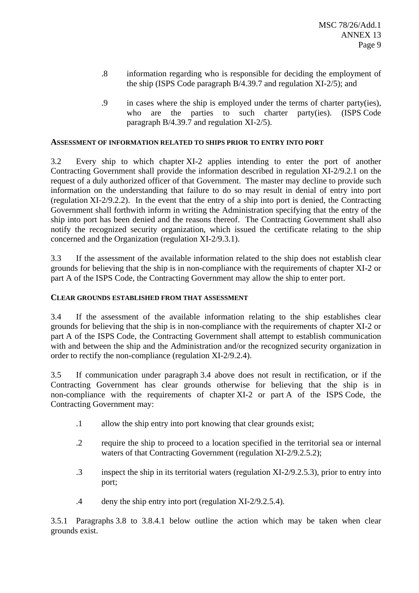- .8 information regarding who is responsible for deciding the employment of the ship (ISPS Code paragraph B/4.39.7 and regulation XI-2/5); and
- .9 in cases where the ship is employed under the terms of charter party(ies), who are the parties to such charter party(ies). (ISPS Code paragraph B/4.39.7 and regulation XI-2/5).

### **ASSESSMENT OF INFORMATION RELATED TO SHIPS PRIOR TO ENTRY INTO PORT**

3.2 Every ship to which chapter XI-2 applies intending to enter the port of another Contracting Government shall provide the information described in regulation XI-2/9.2.1 on the request of a duly authorized officer of that Government. The master may decline to provide such information on the understanding that failure to do so may result in denial of entry into port (regulation XI-2/9.2.2). In the event that the entry of a ship into port is denied, the Contracting Government shall forthwith inform in writing the Administration specifying that the entry of the ship into port has been denied and the reasons thereof. The Contracting Government shall also notify the recognized security organization, which issued the certificate relating to the ship concerned and the Organization (regulation XI-2/9.3.1).

3.3 If the assessment of the available information related to the ship does not establish clear grounds for believing that the ship is in non-compliance with the requirements of chapter XI-2 or part A of the ISPS Code, the Contracting Government may allow the ship to enter port.

## **CLEAR GROUNDS ESTABLISHED FROM THAT ASSESSMENT**

3.4 If the assessment of the available information relating to the ship establishes clear grounds for believing that the ship is in non-compliance with the requirements of chapter XI-2 or part A of the ISPS Code, the Contracting Government shall attempt to establish communication with and between the ship and the Administration and/or the recognized security organization in order to rectify the non-compliance (regulation XI-2/9.2.4).

3.5 If communication under paragraph 3.4 above does not result in rectification, or if the Contracting Government has clear grounds otherwise for believing that the ship is in non-compliance with the requirements of chapter XI-2 or part A of the ISPS Code, the Contracting Government may:

- .1 allow the ship entry into port knowing that clear grounds exist;
- .2 require the ship to proceed to a location specified in the territorial sea or internal waters of that Contracting Government (regulation XI-2/9.2.5.2);
- .3 inspect the ship in its territorial waters (regulation XI-2/9.2.5.3), prior to entry into port;
- .4 deny the ship entry into port (regulation XI-2/9.2.5.4).

3.5.1 Paragraphs 3.8 to 3.8.4.1 below outline the action which may be taken when clear grounds exist.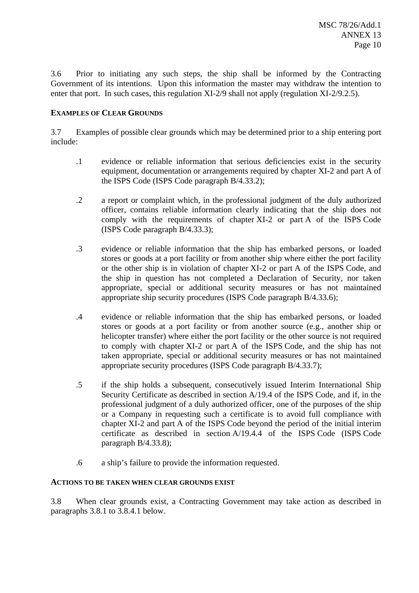3.6 Prior to initiating any such steps, the ship shall be informed by the Contracting Government of its intentions. Upon this information the master may withdraw the intention to enter that port. In such cases, this regulation XI-2/9 shall not apply (regulation XI-2/9.2.5).

## **EXAMPLES OF CLEAR GROUNDS**

3.7 Examples of possible clear grounds which may be determined prior to a ship entering port include:

- .1 evidence or reliable information that serious deficiencies exist in the security equipment, documentation or arrangements required by chapter XI-2 and part A of the ISPS Code (ISPS Code paragraph B/4.33.2);
- .2 a report or complaint which, in the professional judgment of the duly authorized officer, contains reliable information clearly indicating that the ship does not comply with the requirements of chapter XI-2 or part A of the ISPS Code (ISPS Code paragraph B/4.33.3);
- .3 evidence or reliable information that the ship has embarked persons, or loaded stores or goods at a port facility or from another ship where either the port facility or the other ship is in violation of chapter XI-2 or part A of the ISPS Code, and the ship in question has not completed a Declaration of Security, nor taken appropriate, special or additional security measures or has not maintained appropriate ship security procedures (ISPS Code paragraph B/4.33.6);
- .4 evidence or reliable information that the ship has embarked persons, or loaded stores or goods at a port facility or from another source (e.g., another ship or helicopter transfer) where either the port facility or the other source is not required to comply with chapter XI-2 or part A of the ISPS Code, and the ship has not taken appropriate, special or additional security measures or has not maintained appropriate security procedures (ISPS Code paragraph B/4.33.7);
- .5 if the ship holds a subsequent, consecutively issued Interim International Ship Security Certificate as described in section A/19.4 of the ISPS Code, and if, in the professional judgment of a duly authorized officer, one of the purposes of the ship or a Company in requesting such a certificate is to avoid full compliance with chapter XI-2 and part A of the ISPS Code beyond the period of the initial interim certificate as described in section A/19.4.4 of the ISPS Code (ISPS Code paragraph B/4.33.8);
- .6 a ship's failure to provide the information requested.

### **ACTIONS TO BE TAKEN WHEN CLEAR GROUNDS EXIST**

3.8 When clear grounds exist, a Contracting Government may take action as described in paragraphs 3.8.1 to 3.8.4.1 below.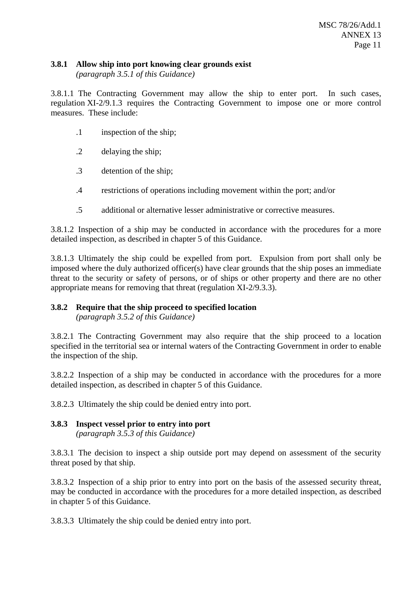### **3.8.1 Allow ship into port knowing clear grounds exist**

*(paragraph 3.5.1 of this Guidance)*

3.8.1.1 The Contracting Government may allow the ship to enter port. In such cases, regulation XI-2/9.1.3 requires the Contracting Government to impose one or more control measures. These include:

- .1 inspection of the ship;
- .2 delaying the ship;
- .3 detention of the ship;
- .4 restrictions of operations including movement within the port; and/or
- .5 additional or alternative lesser administrative or corrective measures.

3.8.1.2 Inspection of a ship may be conducted in accordance with the procedures for a more detailed inspection, as described in chapter 5 of this Guidance.

3.8.1.3 Ultimately the ship could be expelled from port. Expulsion from port shall only be imposed where the duly authorized officer(s) have clear grounds that the ship poses an immediate threat to the security or safety of persons, or of ships or other property and there are no other appropriate means for removing that threat (regulation XI-2/9.3.3).

# **3.8.2 Require that the ship proceed to specified location**

*(paragraph 3.5.2 of this Guidance)* 

3.8.2.1 The Contracting Government may also require that the ship proceed to a location specified in the territorial sea or internal waters of the Contracting Government in order to enable the inspection of the ship.

3.8.2.2 Inspection of a ship may be conducted in accordance with the procedures for a more detailed inspection, as described in chapter 5 of this Guidance.

3.8.2.3 Ultimately the ship could be denied entry into port.

## **3.8.3 Inspect vessel prior to entry into port**

*(paragraph 3.5.3 of this Guidance)* 

3.8.3.1 The decision to inspect a ship outside port may depend on assessment of the security threat posed by that ship.

3.8.3.2 Inspection of a ship prior to entry into port on the basis of the assessed security threat, may be conducted in accordance with the procedures for a more detailed inspection, as described in chapter 5 of this Guidance.

3.8.3.3 Ultimately the ship could be denied entry into port.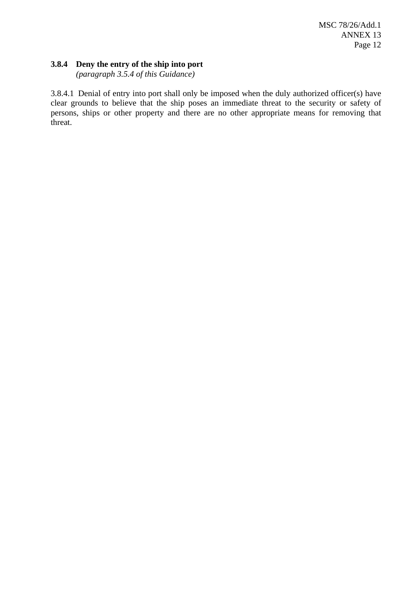### **3.8.4 Deny the entry of the ship into port**

*(paragraph 3.5.4 of this Guidance)*

3.8.4.1 Denial of entry into port shall only be imposed when the duly authorized officer(s) have clear grounds to believe that the ship poses an immediate threat to the security or safety of persons, ships or other property and there are no other appropriate means for removing that threat.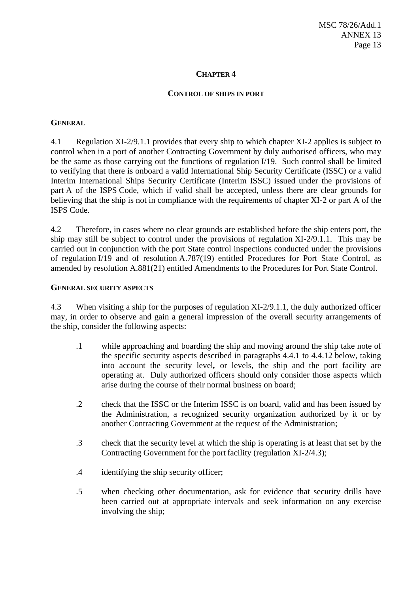#### **CONTROL OF SHIPS IN PORT**

#### **GENERAL**

4.1 Regulation XI-2/9.1.1 provides that every ship to which chapter XI-2 applies is subject to control when in a port of another Contracting Government by duly authorised officers, who may be the same as those carrying out the functions of regulation I/19. Such control shall be limited to verifying that there is onboard a valid International Ship Security Certificate (ISSC) or a valid Interim International Ships Security Certificate (Interim ISSC) issued under the provisions of part A of the ISPS Code, which if valid shall be accepted, unless there are clear grounds for believing that the ship is not in compliance with the requirements of chapter XI-2 or part A of the ISPS Code.

4.2 Therefore, in cases where no clear grounds are established before the ship enters port, the ship may still be subject to control under the provisions of regulation XI-2/9.1.1. This may be carried out in conjunction with the port State control inspections conducted under the provisions of regulation I/19 and of resolution A.787(19) entitled Procedures for Port State Control, as amended by resolution A.881(21) entitled Amendments to the Procedures for Port State Control.

### **GENERAL SECURITY ASPECTS**

4.3 When visiting a ship for the purposes of regulation XI-2/9.1.1, the duly authorized officer may, in order to observe and gain a general impression of the overall security arrangements of the ship, consider the following aspects:

- .1 while approaching and boarding the ship and moving around the ship take note of the specific security aspects described in paragraphs 4.4.1 to 4.4.12 below, taking into account the security level*,* or levels, the ship and the port facility are operating at.Duly authorized officers should only consider those aspects which arise during the course of their normal business on board;
- .2 check that the ISSC or the Interim ISSC is on board, valid and has been issued by the Administration, a recognized security organization authorized by it or by another Contracting Government at the request of the Administration;
- .3 check that the security level at which the ship is operating is at least that set by the Contracting Government for the port facility (regulation XI-2/4.3);
- .4 identifying the ship security officer;
- .5 when checking other documentation, ask for evidence that security drills have been carried out at appropriate intervals and seek information on any exercise involving the ship;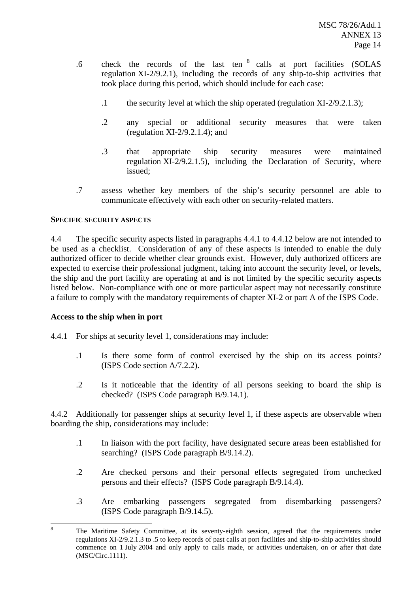- .6 check the records of the last ten 8 calls at port facilities (SOLAS regulation XI-2/9.2.1), including the records of any ship-to-ship activities that took place during this period, which should include for each case:
	- .1 the security level at which the ship operated (regulation XI-2/9.2.1.3);
	- .2 any special or additional security measures that were taken (regulation  $XI-2/9.2.1.4$ ); and
	- .3 that appropriate ship security measures were maintained regulation XI-2/9.2.1.5), including the Declaration of Security, where issued;
- .7 assess whether key members of the ship's security personnel are able to communicate effectively with each other on security-related matters.

### **SPECIFIC SECURITY ASPECTS**

4.4 The specific security aspects listed in paragraphs 4.4.1 to 4.4.12 below are not intended to be used as a checklist. Consideration of any of these aspects is intended to enable the duly authorized officer to decide whether clear grounds exist. However, duly authorized officers are expected to exercise their professional judgment, taking into account the security level, or levels, the ship and the port facility are operating at and is not limited by the specific security aspects listed below. Non-compliance with one or more particular aspect may not necessarily constitute a failure to comply with the mandatory requirements of chapter XI-2 or part A of the ISPS Code.

### **Access to the ship when in port**

4.4.1 For ships at security level 1, considerations may include:

- .1 Is there some form of control exercised by the ship on its access points? (ISPS Code section A/7.2.2).
- .2 Is it noticeable that the identity of all persons seeking to board the ship is checked? (ISPS Code paragraph B/9.14.1).

4.4.2 Additionally for passenger ships at security level 1, if these aspects are observable when boarding the ship, considerations may include:

- .1 In liaison with the port facility, have designated secure areas been established for searching? (ISPS Code paragraph B/9.14.2).
- .2 Are checked persons and their personal effects segregated from unchecked persons and their effects? (ISPS Code paragraph B/9.14.4).
- .3 Are embarking passengers segregated from disembarking passengers? (ISPS Code paragraph B/9.14.5).

 8 The Maritime Safety Committee, at its seventy-eighth session, agreed that the requirements under regulations XI-2/9.2.1.3 to .5 to keep records of past calls at port facilities and ship-to-ship activities should commence on 1 July 2004 and only apply to calls made, or activities undertaken, on or after that date (MSC/Circ.1111).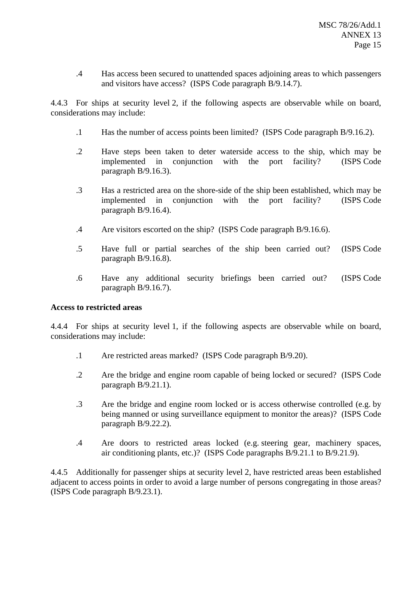.4 Has access been secured to unattended spaces adjoining areas to which passengers and visitors have access? (ISPS Code paragraph B/9.14.7).

4.4.3 For ships at security level 2, if the following aspects are observable while on board, considerations may include:

- .1 Has the number of access points been limited? (ISPS Code paragraph B/9.16.2).
- .2 Have steps been taken to deter waterside access to the ship, which may be implemented in conjunction with the port facility? (ISPS Code paragraph B/9.16.3).
- .3 Has a restricted area on the shore-side of the ship been established, which may be implemented in conjunction with the port facility? (ISPS Code paragraph B/9.16.4).
- .4 Are visitors escorted on the ship? (ISPS Code paragraph B/9.16.6).
- .5 Have full or partial searches of the ship been carried out? (ISPS Code paragraph B/9.16.8).
- .6 Have any additional security briefings been carried out? (ISPS Code paragraph B/9.16.7).

### **Access to restricted areas**

4.4.4 For ships at security level 1, if the following aspects are observable while on board, considerations may include:

- .1 Are restricted areas marked? (ISPS Code paragraph B/9.20).
- .2 Are the bridge and engine room capable of being locked or secured? (ISPS Code paragraph B/9.21.1).
- .3 Are the bridge and engine room locked or is access otherwise controlled (e.g. by being manned or using surveillance equipment to monitor the areas)? (ISPS Code paragraph B/9.22.2).
- .4 Are doors to restricted areas locked (e.g. steering gear, machinery spaces, air conditioning plants, etc.)? (ISPS Code paragraphs B/9.21.1 to B/9.21.9).

4.4.5 Additionally for passenger ships at security level 2, have restricted areas been established adjacent to access points in order to avoid a large number of persons congregating in those areas? (ISPS Code paragraph B/9.23.1).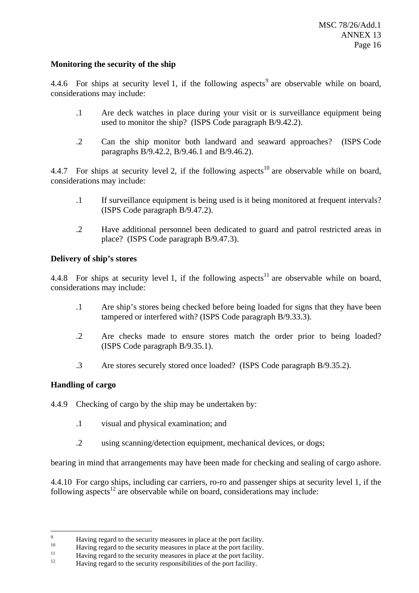## **Monitoring the security of the ship**

4.4.6 For ships at security level 1, if the following aspects<sup>9</sup> are observable while on board, considerations may include:

- .1 Are deck watches in place during your visit or is surveillance equipment being used to monitor the ship? (ISPS Code paragraph B/9.42.2).
- .2 Can the ship monitor both landward and seaward approaches? (ISPS Code paragraphs B/9.42.2, B/9.46.1 and B/9.46.2).

4.4.7 For ships at security level 2, if the following aspects<sup>10</sup> are observable while on board, considerations may include:

- .1 If surveillance equipment is being used is it being monitored at frequent intervals? (ISPS Code paragraph B/9.47.2).
- .2 Have additional personnel been dedicated to guard and patrol restricted areas in place? (ISPS Code paragraph B/9.47.3).

### **Delivery of ship's stores**

4.4.8 For ships at security level 1, if the following aspects<sup>11</sup> are observable while on board, considerations may include:

- .1 Are ship's stores being checked before being loaded for signs that they have been tampered or interfered with? (ISPS Code paragraph B/9.33.3).
- .2 Are checks made to ensure stores match the order prior to being loaded? (ISPS Code paragraph B/9.35.1).
- .3 Are stores securely stored once loaded? (ISPS Code paragraph B/9.35.2).

## **Handling of cargo**

- 4.4.9 Checking of cargo by the ship may be undertaken by:
	- .1 visual and physical examination; and
	- .2 using scanning/detection equipment, mechanical devices, or dogs;

bearing in mind that arrangements may have been made for checking and sealing of cargo ashore.

4.4.10 For cargo ships, including car carriers, ro-ro and passenger ships at security level 1, if the following aspects<sup>12</sup> are observable while on board, considerations may include:

<sup>-&</sup>lt;br>9

<sup>&</sup>lt;sup>9</sup><br>Having regard to the security measures in place at the port facility.<br>Having regard to the security measures in place at the port facility.<br>Having regard to the security responsibilities of the port facility.<br>Having re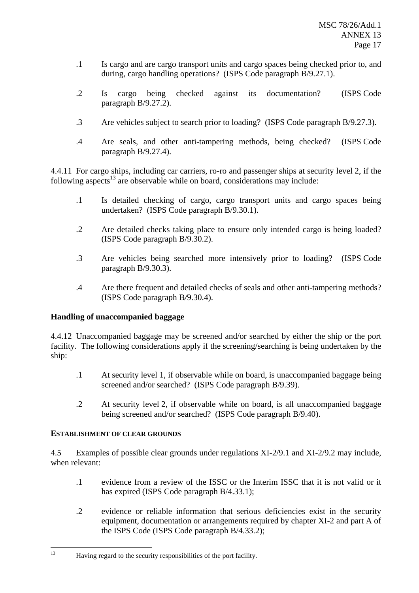- .1 Is cargo and are cargo transport units and cargo spaces being checked prior to, and during, cargo handling operations? (ISPS Code paragraph B/9.27.1).
- .2 Is cargo being checked against its documentation? (ISPS Code paragraph B/9.27.2).
- .3 Are vehicles subject to search prior to loading? (ISPS Code paragraph B/9.27.3).
- .4 Are seals, and other anti-tampering methods, being checked? (ISPS Code paragraph B/9.27.4).

4.4.11 For cargo ships, including car carriers, ro-ro and passenger ships at security level 2, if the following aspects<sup>13</sup> are observable while on board, considerations may include:

- .1 Is detailed checking of cargo, cargo transport units and cargo spaces being undertaken? (ISPS Code paragraph B/9.30.1).
- .2 Are detailed checks taking place to ensure only intended cargo is being loaded? (ISPS Code paragraph B/9.30.2).
- .3 Are vehicles being searched more intensively prior to loading? (ISPS Code paragraph B/9.30.3).
- .4 Are there frequent and detailed checks of seals and other anti-tampering methods? (ISPS Code paragraph B*/*9.30.4).

## **Handling of unaccompanied baggage**

4.4.12 Unaccompanied baggage may be screened and/or searched by either the ship or the port facility. The following considerations apply if the screening/searching is being undertaken by the ship:

- .1 At security level 1, if observable while on board, is unaccompanied baggage being screened and/or searched? (ISPS Code paragraph B/9.39).
- .2 At security level 2, if observable while on board, is all unaccompanied baggage being screened and/or searched? (ISPS Code paragraph B/9.40).

## **ESTABLISHMENT OF CLEAR GROUNDS**

4.5 Examples of possible clear grounds under regulations XI-2/9.1 and XI-2/9.2 may include, when relevant:

- .1 evidence from a review of the ISSC or the Interim ISSC that it is not valid or it has expired (ISPS Code paragraph B/4.33.1);
- .2 evidence or reliable information that serious deficiencies exist in the security equipment, documentation or arrangements required by chapter XI-2 and part A of the ISPS Code (ISPS Code paragraph B/4.33.2);

 $13$ Having regard to the security responsibilities of the port facility.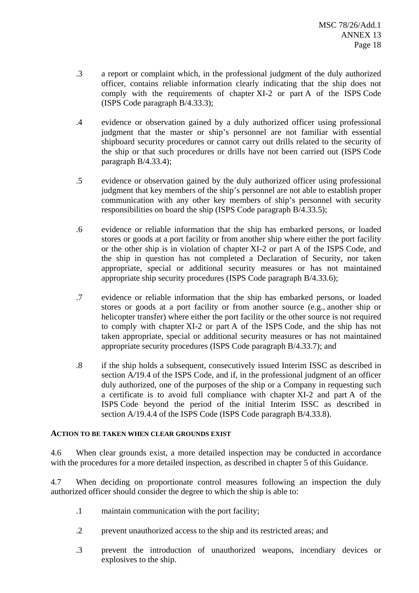- .3 a report or complaint which, in the professional judgment of the duly authorized officer, contains reliable information clearly indicating that the ship does not comply with the requirements of chapter XI-2 or part A of the ISPS Code (ISPS Code paragraph B/4.33.3);
- .4 evidence or observation gained by a duly authorized officer using professional judgment that the master or ship's personnel are not familiar with essential shipboard security procedures or cannot carry out drills related to the security of the ship or that such procedures or drills have not been carried out (ISPS Code paragraph B/4.33.4);
- .5 evidence or observation gained by the duly authorized officer using professional judgment that key members of the ship's personnel are not able to establish proper communication with any other key members of ship's personnel with security responsibilities on board the ship (ISPS Code paragraph B/4.33.5);
- .6 evidence or reliable information that the ship has embarked persons, or loaded stores or goods at a port facility or from another ship where either the port facility or the other ship is in violation of chapter XI-2 or part A of the ISPS Code, and the ship in question has not completed a Declaration of Security, nor taken appropriate, special or additional security measures or has not maintained appropriate ship security procedures (ISPS Code paragraph B/4.33.6);
- .7 evidence or reliable information that the ship has embarked persons, or loaded stores or goods at a port facility or from another source (e.g., another ship or helicopter transfer) where either the port facility or the other source is not required to comply with chapter XI-2 or part A of the ISPS Code, and the ship has not taken appropriate, special or additional security measures or has not maintained appropriate security procedures (ISPS Code paragraph B/4.33.7); and
- .8 if the ship holds a subsequent, consecutively issued Interim ISSC as described in section A/19.4 of the ISPS Code, and if, in the professional judgment of an officer duly authorized, one of the purposes of the ship or a Company in requesting such a certificate is to avoid full compliance with chapter XI-2 and part A of the ISPS Code beyond the period of the initial Interim ISSC as described in section A/19.4.4 of the ISPS Code (ISPS Code paragraph B/4.33.8).

### **ACTION TO BE TAKEN WHEN CLEAR GROUNDS EXIST**

4.6 When clear grounds exist, a more detailed inspection may be conducted in accordance with the procedures for a more detailed inspection, as described in chapter 5 of this Guidance.

4.7 When deciding on proportionate control measures following an inspection the duly authorized officer should consider the degree to which the ship is able to:

- .1 maintain communication with the port facility;
- .2 prevent unauthorized access to the ship and its restricted areas; and
- .3 prevent the introduction of unauthorized weapons, incendiary devices or explosives to the ship.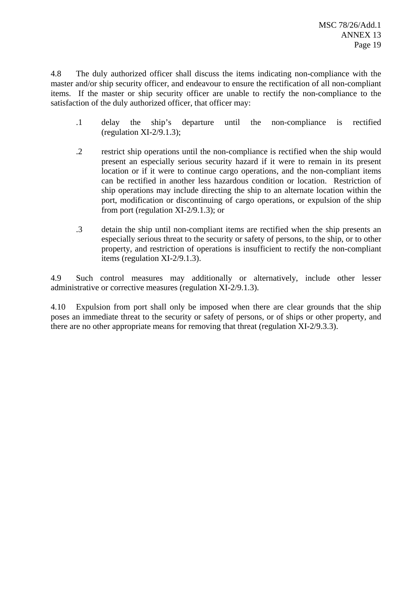4.8 The duly authorized officer shall discuss the items indicating non-compliance with the master and/or ship security officer, and endeavour to ensure the rectification of all non-compliant items. If the master or ship security officer are unable to rectify the non-compliance to the satisfaction of the duly authorized officer, that officer may:

- .1 delay the ship's departure until the non-compliance is rectified (regulation  $XI-2/9.1.3$ );
- .2 restrict ship operations until the non-compliance is rectified when the ship would present an especially serious security hazard if it were to remain in its present location or if it were to continue cargo operations, and the non-compliant items can be rectified in another less hazardous condition or location. Restriction of ship operations may include directing the ship to an alternate location within the port, modification or discontinuing of cargo operations, or expulsion of the ship from port (regulation XI-2/9.1.3); or
- .3 detain the ship until non-compliant items are rectified when the ship presents an especially serious threat to the security or safety of persons, to the ship, or to other property, and restriction of operations is insufficient to rectify the non-compliant items (regulation XI-2/9.1.3).

4.9 Such control measures may additionally or alternatively, include other lesser administrative or corrective measures (regulation XI-2/9.1.3).

4.10 Expulsion from port shall only be imposed when there are clear grounds that the ship poses an immediate threat to the security or safety of persons, or of ships or other property, and there are no other appropriate means for removing that threat (regulation XI-2/9.3.3).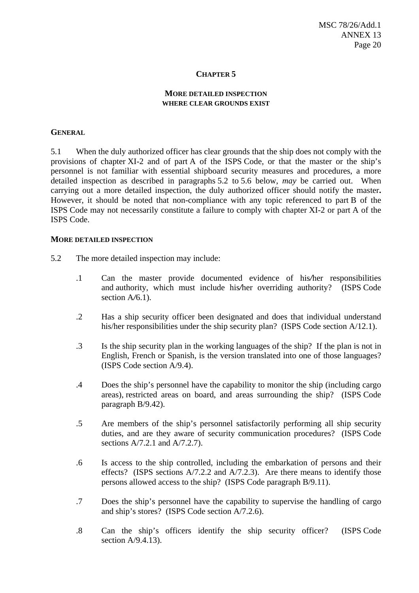#### **MORE DETAILED INSPECTION WHERE CLEAR GROUNDS EXIST**

#### **GENERAL**

5.1 When the duly authorized officer has clear grounds that the ship does not comply with the provisions of chapter XI-2 and of part A of the ISPS Code, or that the master or the ship's personnel is not familiar with essential shipboard security measures and procedures, a more detailed inspection as described in paragraphs 5.2 to 5.6 below, *may* be carried out. When carrying out a more detailed inspection, the duly authorized officer should notify the master**.** However, it should be noted that non-compliance with any topic referenced to part B of the ISPS Code may not necessarily constitute a failure to comply with chapter XI-2 or part A of the ISPS Code.

#### **MORE DETAILED INSPECTION**

- 5.2 The more detailed inspection may include:
	- .1 Can the master provide documented evidence of his*/*her responsibilities and authority, which must include his*/*her overriding authority? (ISPS Code section A*/*6.1).
	- .2 Has a ship security officer been designated and does that individual understand his/her responsibilities under the ship security plan? (ISPS Code section A/12.1).
	- .3 Is the ship security plan in the working languages of the ship? If the plan is not in English, French or Spanish, is the version translated into one of those languages? (ISPS Code section A/9.4).
	- .4 Does the ship's personnel have the capability to monitor the ship (including cargo areas), restricted areas on board, and areas surrounding the ship? (ISPS Code paragraph B/9.42).
	- .5 Are members of the ship's personnel satisfactorily performing all ship security duties, and are they aware of security communication procedures? (ISPS Code sections A/7.2.1 and A/7.2.7).
	- .6 Is access to the ship controlled, including the embarkation of persons and their effects? (ISPS sections  $A/7.2.2$  and  $A/7.2.3$ ). Are there means to identify those persons allowed access to the ship? (ISPS Code paragraph B/9.11).
	- .7 Does the ship's personnel have the capability to supervise the handling of cargo and ship's stores? (ISPS Code section A/7.2.6).
	- .8 Can the ship's officers identify the ship security officer? (ISPS Code section A/9.4.13).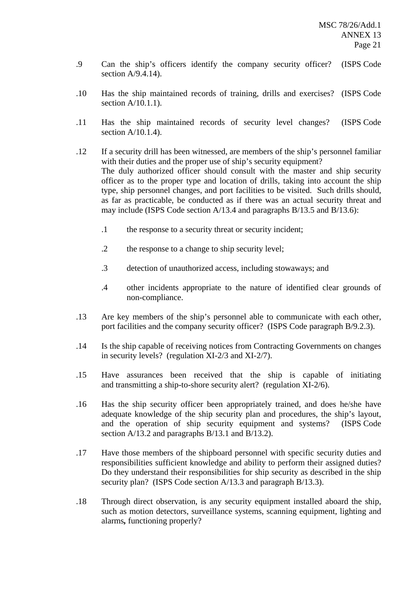- .9 Can the ship's officers identify the company security officer? (ISPS Code section A/9.4.14).
- .10 Has the ship maintained records of training, drills and exercises? (ISPS Code section A/10.1.1).
- .11 Has the ship maintained records of security level changes? (ISPS Code section  $A/10.1.4$ ).
- .12 If a security drill has been witnessed, are members of the ship's personnel familiar with their duties and the proper use of ship's security equipment? The duly authorized officer should consult with the master and ship security officer as to the proper type and location of drills, taking into account the ship type, ship personnel changes, and port facilities to be visited. Such drills should, as far as practicable, be conducted as if there was an actual security threat and may include (ISPS Code section A/13.4 and paragraphs B/13.5 and B/13.6):
	- .1 the response to a security threat or security incident;
	- .2 the response to a change to ship security level;
	- .3 detection of unauthorized access, including stowaways; and
	- .4 other incidents appropriate to the nature of identified clear grounds of non-compliance.
- .13 Are key members of the ship's personnel able to communicate with each other, port facilities and the company security officer? (ISPS Code paragraph B/9.2.3).
- .14 Is the ship capable of receiving notices from Contracting Governments on changes in security levels? (regulation XI-2/3 and XI-2/7).
- .15 Have assurances been received that the ship is capable of initiating and transmitting a ship-to-shore security alert? (regulation XI-2/6).
- .16 Has the ship security officer been appropriately trained, and does he/she have adequate knowledge of the ship security plan and procedures, the ship's layout, and the operation of ship security equipment and systems? (ISPS Code section A/13.2 and paragraphs B/13.1 and B/13.2).
- .17 Have those members of the shipboard personnel with specific security duties and responsibilities sufficient knowledge and ability to perform their assigned duties? Do they understand their responsibilities for ship security as described in the ship security plan? (ISPS Code section A/13.3 and paragraph B/13.3).
- .18 Through direct observation, is any security equipment installed aboard the ship, such as motion detectors, surveillance systems, scanning equipment, lighting and alarms*,* functioning properly?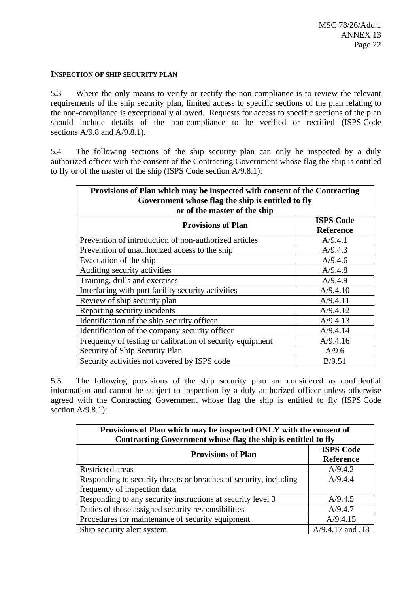#### **INSPECTION OF SHIP SECURITY PLAN**

5.3 Where the only means to verify or rectify the non-compliance is to review the relevant requirements of the ship security plan, limited access to specific sections of the plan relating to the non-compliance is exceptionally allowed. Requests for access to specific sections of the plan should include details of the non-compliance to be verified or rectified (ISPS Code sections A/9.8 and A/9.8.1).

5.4 The following sections of the ship security plan can only be inspected by a duly authorized officer with the consent of the Contracting Government whose flag the ship is entitled to fly or of the master of the ship (ISPS Code section A/9.8.1):

| Provisions of Plan which may be inspected with consent of the Contracting         |                                      |  |  |
|-----------------------------------------------------------------------------------|--------------------------------------|--|--|
| Government whose flag the ship is entitled to fly<br>or of the master of the ship |                                      |  |  |
| <b>Provisions of Plan</b>                                                         | <b>ISPS Code</b><br><b>Reference</b> |  |  |
| Prevention of introduction of non-authorized articles                             | A/9.4.1                              |  |  |
| Prevention of unauthorized access to the ship                                     | A/9.4.3                              |  |  |
| Evacuation of the ship                                                            | A/9.4.6                              |  |  |
| Auditing security activities                                                      | A/9.4.8                              |  |  |
| Training, drills and exercises                                                    | A/9.4.9                              |  |  |
| Interfacing with port facility security activities                                | A/9.4.10                             |  |  |
| Review of ship security plan                                                      | A/9.4.11                             |  |  |
| Reporting security incidents                                                      | A/9.4.12                             |  |  |
| Identification of the ship security officer                                       | A/9.4.13                             |  |  |
| Identification of the company security officer                                    | A/9.4.14                             |  |  |
| Frequency of testing or calibration of security equipment                         | A/9.4.16                             |  |  |
| Security of Ship Security Plan                                                    | A/9.6                                |  |  |
| Security activities not covered by ISPS code                                      | B/9.51                               |  |  |

5.5 The following provisions of the ship security plan are considered as confidential information and cannot be subject to inspection by a duly authorized officer unless otherwise agreed with the Contracting Government whose flag the ship is entitled to fly (ISPS Code section  $A/9.8.1$ ):

| Provisions of Plan which may be inspected ONLY with the consent of<br>Contracting Government whose flag the ship is entitled to fly |                                      |  |
|-------------------------------------------------------------------------------------------------------------------------------------|--------------------------------------|--|
| <b>Provisions of Plan</b>                                                                                                           | <b>ISPS Code</b><br><b>Reference</b> |  |
| <b>Restricted</b> areas                                                                                                             | A/9.4.2                              |  |
| Responding to security threats or breaches of security, including                                                                   | A/9.4.4                              |  |
| frequency of inspection data                                                                                                        |                                      |  |
| Responding to any security instructions at security level 3                                                                         | A/9.4.5                              |  |
| Duties of those assigned security responsibilities                                                                                  | A/9.4.7                              |  |
| Procedures for maintenance of security equipment                                                                                    | A/9.4.15                             |  |
| Ship security alert system                                                                                                          | A/9.4.17 and .18                     |  |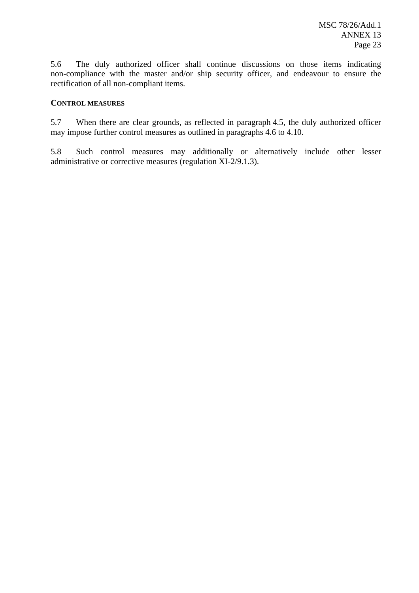5.6 The duly authorized officer shall continue discussions on those items indicating non-compliance with the master and/or ship security officer, and endeavour to ensure the rectification of all non-compliant items.

### **CONTROL MEASURES**

5.7 When there are clear grounds, as reflected in paragraph 4.5, the duly authorized officer may impose further control measures as outlined in paragraphs 4.6 to 4.10.

5.8 Such control measures may additionally or alternatively include other lesser administrative or corrective measures (regulation XI-2/9.1.3).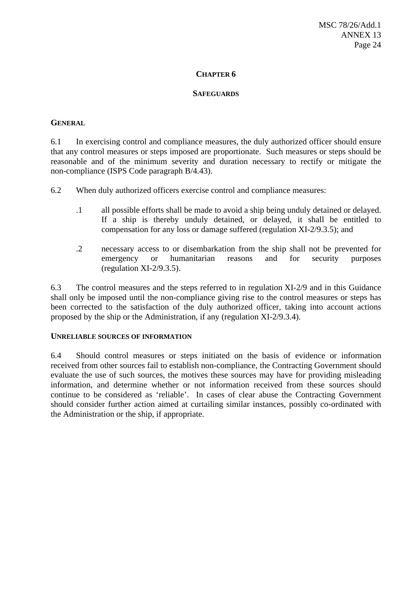#### **SAFEGUARDS**

#### **GENERAL**

6.1 In exercising control and compliance measures, the duly authorized officer should ensure that any control measures or steps imposed are proportionate. Such measures or steps should be reasonable and of the minimum severity and duration necessary to rectify or mitigate the non-compliance (ISPS Code paragraph B/4.43).

6.2 When duly authorized officers exercise control and compliance measures:

- .1 all possible efforts shall be made to avoid a ship being unduly detained or delayed. If a ship is thereby unduly detained, or delayed, it shall be entitled to compensation for any loss or damage suffered (regulation XI-2/9.3.5); and
- .2 necessary access to or disembarkation from the ship shall not be prevented for emergency or humanitarian reasons and for security purposes (regulation XI-2/9.3.5).

6.3 The control measures and the steps referred to in regulation XI-2/9 and in this Guidance shall only be imposed until the non-compliance giving rise to the control measures or steps has been corrected to the satisfaction of the duly authorized officer, taking into account actions proposed by the ship or the Administration, if any (regulation XI-2/9.3.4).

#### **UNRELIABLE SOURCES OF INFORMATION**

6.4 Should control measures or steps initiated on the basis of evidence or information received from other sources fail to establish non-compliance, the Contracting Government should evaluate the use of such sources, the motives these sources may have for providing misleading information, and determine whether or not information received from these sources should continue to be considered as 'reliable'. In cases of clear abuse the Contracting Government should consider further action aimed at curtailing similar instances, possibly co-ordinated with the Administration or the ship, if appropriate.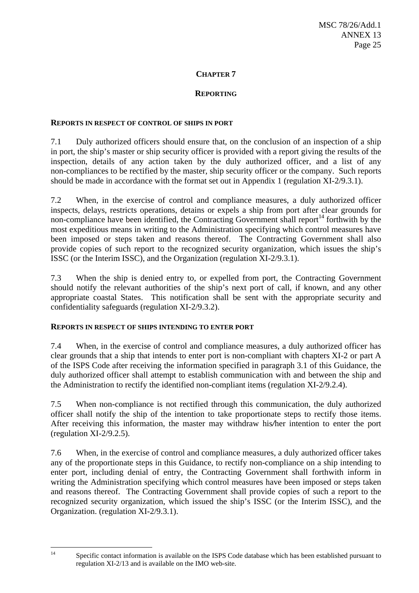## **REPORTING**

#### **REPORTS IN RESPECT OF CONTROL OF SHIPS IN PORT**

7.1 Duly authorized officers should ensure that, on the conclusion of an inspection of a ship in port, the ship's master or ship security officer is provided with a report giving the results of the inspection, details of any action taken by the duly authorized officer, and a list of any non-compliances to be rectified by the master, ship security officer or the company. Such reports should be made in accordance with the format set out in Appendix 1 (regulation XI-2/9.3.1).

7.2 When, in the exercise of control and compliance measures, a duly authorized officer inspects, delays, restricts operations, detains or expels a ship from port after clear grounds for non-compliance have been identified, the Contracting Government shall report<sup>14</sup> forthwith by the most expeditious means in writing to the Administration specifying which control measures have been imposed or steps taken and reasons thereof. The Contracting Government shall also provide copies of such report to the recognized security organization, which issues the ship's ISSC (or the Interim ISSC), and the Organization (regulation XI-2/9.3.1).

7.3 When the ship is denied entry to, or expelled from port, the Contracting Government should notify the relevant authorities of the ship's next port of call, if known, and any other appropriate coastal States. This notification shall be sent with the appropriate security and confidentiality safeguards (regulation XI-2/9.3.2).

### **REPORTS IN RESPECT OF SHIPS INTENDING TO ENTER PORT**

7.4 When, in the exercise of control and compliance measures, a duly authorized officer has clear grounds that a ship that intends to enter port is non-compliant with chapters XI-2 or part A of the ISPS Code after receiving the information specified in paragraph 3.1 of this Guidance, the duly authorized officer shall attempt to establish communication with and between the ship and the Administration to rectify the identified non-compliant items (regulation XI-2/9.2.4).

7.5 When non-compliance is not rectified through this communication, the duly authorized officer shall notify the ship of the intention to take proportionate steps to rectify those items. After receiving this information, the master may withdraw his*/*her intention to enter the port (regulation XI-2/9.2.5).

7.6 When, in the exercise of control and compliance measures, a duly authorized officer takes any of the proportionate steps in this Guidance, to rectify non-compliance on a ship intending to enter port, including denial of entry, the Contracting Government shall forthwith inform in writing the Administration specifying which control measures have been imposed or steps taken and reasons thereof. The Contracting Government shall provide copies of such a report to the recognized security organization, which issued the ship's ISSC (or the Interim ISSC), and the Organization. (regulation XI-2/9.3.1).

Specific contact information is available on the ISPS Code database which has been established pursuant to regulation XI-2/13 and is available on the IMO web-site.

 $14$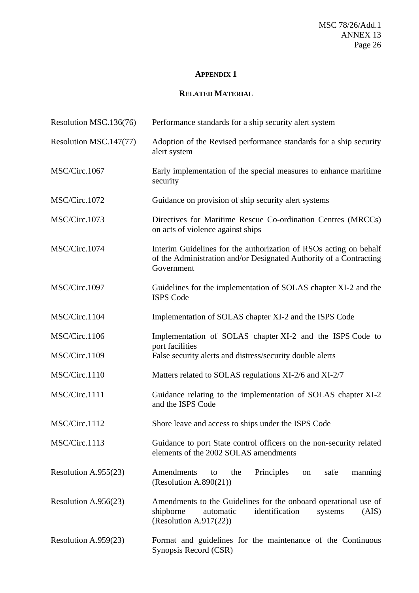### **APPENDIX 1**

# **RELATED MATERIAL**

| Resolution MSC.136(76)  | Performance standards for a ship security alert system                                                                                                        |  |
|-------------------------|---------------------------------------------------------------------------------------------------------------------------------------------------------------|--|
| Resolution MSC.147(77)  | Adoption of the Revised performance standards for a ship security<br>alert system                                                                             |  |
| MSC/Circ.1067           | Early implementation of the special measures to enhance maritime<br>security                                                                                  |  |
| MSC/Circ.1072           | Guidance on provision of ship security alert systems                                                                                                          |  |
| MSC/Circ.1073           | Directives for Maritime Rescue Co-ordination Centres (MRCCs)<br>on acts of violence against ships                                                             |  |
| MSC/Circ.1074           | Interim Guidelines for the authorization of RSOs acting on behalf<br>of the Administration and/or Designated Authority of a Contracting<br>Government         |  |
| MSC/Circ.1097           | Guidelines for the implementation of SOLAS chapter XI-2 and the<br><b>ISPS Code</b>                                                                           |  |
| MSC/Circ.1104           | Implementation of SOLAS chapter XI-2 and the ISPS Code                                                                                                        |  |
| MSC/Circ.1106           | Implementation of SOLAS chapter XI-2 and the ISPS Code to<br>port facilities                                                                                  |  |
| MSC/Circ.1109           | False security alerts and distress/security double alerts                                                                                                     |  |
| MSC/Circ.1110           | Matters related to SOLAS regulations XI-2/6 and XI-2/7                                                                                                        |  |
| MSC/Circ.1111           | Guidance relating to the implementation of SOLAS chapter XI-2<br>and the ISPS Code                                                                            |  |
| MSC/Circ.1112           | Shore leave and access to ships under the ISPS Code                                                                                                           |  |
| MSC/Circ.1113           | Guidance to port State control officers on the non-security related<br>elements of the 2002 SOLAS amendments                                                  |  |
| Resolution A.955(23)    | Principles<br>Amendments<br>the<br>safe<br>manning<br>to<br>on<br>(Resolution A.890 $(21)$ )                                                                  |  |
| Resolution A.956 $(23)$ | Amendments to the Guidelines for the onboard operational use of<br>shipborne<br>identification<br>automatic<br>(AIS)<br>systems<br>(Resolution A.917 $(22)$ ) |  |
| Resolution A.959(23)    | Format and guidelines for the maintenance of the Continuous<br>Synopsis Record (CSR)                                                                          |  |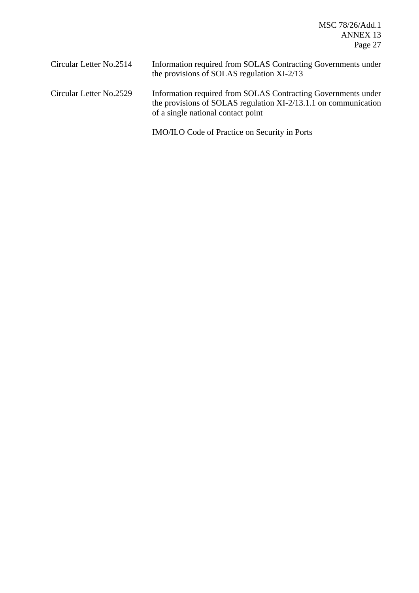MSC 78/26/Add.1 ANNEX 13 Page 27

| Circular Letter No.2514 | Information required from SOLAS Contracting Governments under<br>the provisions of SOLAS regulation XI-2/13                                                            |
|-------------------------|------------------------------------------------------------------------------------------------------------------------------------------------------------------------|
| Circular Letter No.2529 | Information required from SOLAS Contracting Governments under<br>the provisions of SOLAS regulation XI-2/13.1.1 on communication<br>of a single national contact point |

IMO/ILO Code of Practice on Security in Ports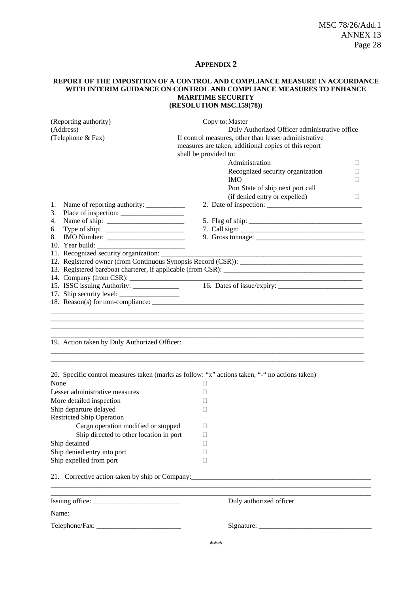#### **APPENDIX 2**

#### **REPORT OF THE IMPOSITION OF A CONTROL AND COMPLIANCE MEASURE IN ACCORDANCE WITH INTERIM GUIDANCE ON CONTROL AND COMPLIANCE MEASURES TO ENHANCE MARITIME SECURITY (RESOLUTION MSC.159(78))**

| (Reporting authority)                         | Copy to: Master                                                                                     |  |  |
|-----------------------------------------------|-----------------------------------------------------------------------------------------------------|--|--|
| (Address)                                     | Duly Authorized Officer administrative office                                                       |  |  |
| (Telephone & Fax)                             | If control measures, other than lesser administrative                                               |  |  |
|                                               | measures are taken, additional copies of this report<br>shall be provided to:                       |  |  |
|                                               |                                                                                                     |  |  |
|                                               | Administration<br>$\mathbf{L}$                                                                      |  |  |
|                                               | Recognized security organization                                                                    |  |  |
|                                               | <b>IMO</b>                                                                                          |  |  |
|                                               | Port State of ship next port call                                                                   |  |  |
|                                               | (if denied entry or expelled)<br>$\mathbf{L}$                                                       |  |  |
| 1.                                            |                                                                                                     |  |  |
| 3.<br>4.                                      |                                                                                                     |  |  |
| 6.                                            |                                                                                                     |  |  |
| 8.                                            | 9. Gross tonnage: $\frac{1}{2}$                                                                     |  |  |
| 10. Year build:                               |                                                                                                     |  |  |
| 11. Recognized security organization: _______ |                                                                                                     |  |  |
|                                               |                                                                                                     |  |  |
|                                               | 13. Registered bareboat charterer, if applicable (from CSR):                                        |  |  |
|                                               | <u> 1989 - Johann Barbara, martin da kasar Amerikaansk filosof</u>                                  |  |  |
| 15. ISSC issuing Authority: _______________   |                                                                                                     |  |  |
|                                               |                                                                                                     |  |  |
|                                               |                                                                                                     |  |  |
| 19. Action taken by Duly Authorized Officer:  |                                                                                                     |  |  |
| None                                          | 20. Specific control measures taken (marks as follow: "x" actions taken, "-" no actions taken)<br>□ |  |  |
| Lesser administrative measures                | П                                                                                                   |  |  |
| More detailed inspection                      | П                                                                                                   |  |  |
| Ship departure delayed                        | п                                                                                                   |  |  |
| <b>Restricted Ship Operation</b>              |                                                                                                     |  |  |
| Cargo operation modified or stopped           | □                                                                                                   |  |  |
| Ship directed to other location in port       | □                                                                                                   |  |  |
| Ship detained                                 |                                                                                                     |  |  |
| Ship denied entry into port                   |                                                                                                     |  |  |
| Ship expelled from port                       | Н                                                                                                   |  |  |
|                                               |                                                                                                     |  |  |
|                                               |                                                                                                     |  |  |
|                                               | Duly authorized officer                                                                             |  |  |
|                                               |                                                                                                     |  |  |
|                                               |                                                                                                     |  |  |
|                                               | مله مله مله                                                                                         |  |  |